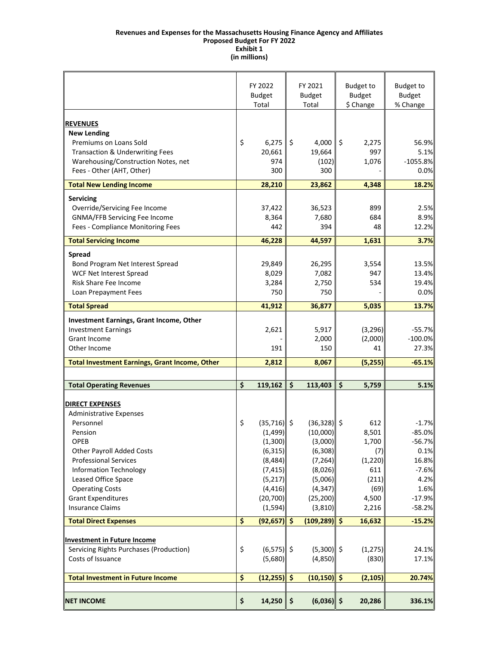#### **Revenues and Expenses for the Massachusetts Housing Finance Agency and Affiliates Exhibit 1 Proposed Budget For FY 2022 (in millions)**

|                                                       |                                 | FY 2022<br><b>Budget</b><br>Total |                    | FY 2021<br><b>Budget</b><br>Total |         | <b>Budget to</b><br><b>Budget</b><br>\$ Change | <b>Budget to</b><br><b>Budget</b><br>% Change |
|-------------------------------------------------------|---------------------------------|-----------------------------------|--------------------|-----------------------------------|---------|------------------------------------------------|-----------------------------------------------|
|                                                       |                                 |                                   |                    |                                   |         |                                                |                                               |
| <b>REVENUES</b>                                       |                                 |                                   |                    |                                   |         |                                                |                                               |
| <b>New Lending</b>                                    |                                 |                                   |                    |                                   |         |                                                |                                               |
| Premiums on Loans Sold                                | \$                              | 6,275                             | \$                 | 4,000                             | $\zeta$ | 2,275                                          | 56.9%                                         |
| <b>Transaction &amp; Underwriting Fees</b>            |                                 | 20,661                            |                    | 19,664                            |         | 997                                            | 5.1%                                          |
| Warehousing/Construction Notes, net                   |                                 | 974                               |                    | (102)                             |         | 1,076                                          | $-1055.8%$                                    |
| Fees - Other (AHT, Other)                             |                                 | 300                               |                    | 300                               |         |                                                | 0.0%                                          |
| <b>Total New Lending Income</b>                       |                                 | 28,210                            |                    | 23,862                            |         | 4,348                                          | 18.2%                                         |
| <b>Servicing</b>                                      |                                 |                                   |                    |                                   |         |                                                |                                               |
| Override/Servicing Fee Income                         |                                 | 37,422                            |                    | 36,523                            |         | 899                                            | 2.5%                                          |
| GNMA/FFB Servicing Fee Income                         |                                 | 8,364                             |                    | 7,680                             |         | 684                                            | 8.9%                                          |
| Fees - Compliance Monitoring Fees                     |                                 | 442                               |                    | 394                               |         | 48                                             | 12.2%                                         |
|                                                       |                                 |                                   |                    |                                   |         |                                                |                                               |
| <b>Total Servicing Income</b>                         |                                 | 46,228                            |                    | 44,597                            |         | 1,631                                          | 3.7%                                          |
| <b>Spread</b>                                         |                                 |                                   |                    |                                   |         |                                                |                                               |
| Bond Program Net Interest Spread                      |                                 | 29,849                            |                    | 26,295                            |         | 3,554                                          | 13.5%                                         |
| <b>WCF Net Interest Spread</b>                        |                                 | 8,029                             |                    | 7,082                             |         | 947                                            | 13.4%                                         |
| Risk Share Fee Income                                 |                                 | 3,284                             |                    | 2,750                             |         | 534                                            | 19.4%                                         |
| Loan Prepayment Fees                                  |                                 | 750                               |                    | 750                               |         |                                                | 0.0%                                          |
| <b>Total Spread</b>                                   |                                 | 41,912                            |                    | 36,877                            |         | 5,035                                          | 13.7%                                         |
| Investment Earnings, Grant Income, Other              |                                 |                                   |                    |                                   |         |                                                |                                               |
| <b>Investment Earnings</b>                            |                                 | 2,621                             |                    | 5,917                             |         | (3, 296)                                       | $-55.7%$                                      |
| <b>Grant Income</b>                                   |                                 |                                   |                    | 2,000                             |         | (2,000)                                        | $-100.0%$                                     |
| Other Income                                          |                                 | 191                               |                    | 150                               |         | 41                                             | 27.3%                                         |
|                                                       |                                 | 2,812                             |                    | 8,067                             |         |                                                | $-65.1%$                                      |
| <b>Total Investment Earnings, Grant Income, Other</b> |                                 |                                   |                    |                                   |         | (5,255)                                        |                                               |
| <b>Total Operating Revenues</b>                       | $\overline{\boldsymbol{\zeta}}$ | 119,162                           | \$                 | 113,403                           | \$      | 5,759                                          | 5.1%                                          |
|                                                       |                                 |                                   |                    |                                   |         |                                                |                                               |
| <u>DIRECT EXPENSES</u>                                |                                 |                                   |                    |                                   |         |                                                |                                               |
| <b>Administrative Expenses</b>                        |                                 |                                   |                    |                                   |         |                                                |                                               |
| Personnel                                             | \$                              | $(35,716)$ \$                     |                    | $(36,328)$ \$                     |         | 612                                            | $-1.7%$                                       |
| Pension                                               |                                 | (1,499)                           |                    | (10,000)                          |         | 8,501                                          | $-85.0%$                                      |
| OPEB                                                  |                                 | (1,300)                           |                    | (3,000)                           |         | 1,700                                          | $-56.7%$                                      |
| <b>Other Payroll Added Costs</b>                      |                                 | (6, 315)                          |                    | (6, 308)                          |         | (7)                                            | 0.1%                                          |
| <b>Professional Services</b>                          |                                 | (8,484)                           |                    | (7, 264)                          |         | (1, 220)                                       | 16.8%                                         |
| <b>Information Technology</b>                         |                                 | (7, 415)                          |                    | (8,026)                           |         | 611                                            | $-7.6%$                                       |
| Leased Office Space                                   |                                 | (5, 217)                          |                    | (5,006)                           |         | (211)                                          | 4.2%                                          |
| <b>Operating Costs</b>                                |                                 | (4, 416)                          |                    | (4, 347)                          |         | (69)                                           | 1.6%                                          |
| <b>Grant Expenditures</b>                             |                                 | (20, 700)                         |                    | (25, 200)                         |         | 4,500                                          | $-17.9%$                                      |
| <b>Insurance Claims</b>                               |                                 | (1, 594)                          |                    | (3, 810)                          |         | 2,216                                          | $-58.2%$                                      |
| <b>Total Direct Expenses</b>                          | \$                              | (92, 657)                         | $\frac{1}{2}$      | $(109, 289)$ \$                   |         | 16,632                                         | $-15.2%$                                      |
|                                                       |                                 |                                   |                    |                                   |         |                                                |                                               |
| <b>Investment in Future Income</b>                    |                                 | $(6,575)$ \$                      |                    | $(5,300)$ \$                      |         |                                                |                                               |
| Servicing Rights Purchases (Production)               | \$                              |                                   |                    |                                   |         | (1, 275)                                       | 24.1%                                         |
| Costs of Issuance                                     |                                 | (5,680)                           |                    | (4,850)                           |         | (830)                                          | 17.1%                                         |
| <b>Total Investment in Future Income</b>              | $\overline{\boldsymbol{\zeta}}$ | (12, 255)                         | $\hat{\mathsf{S}}$ | $(10, 150)$ \$                    |         | (2, 105)                                       | 20.74%                                        |
|                                                       |                                 |                                   |                    |                                   |         |                                                |                                               |
| <b>NET INCOME</b>                                     | \$                              | 14,250                            | \$                 | $(6,036)$ \$                      |         | 20,286                                         | 336.1%                                        |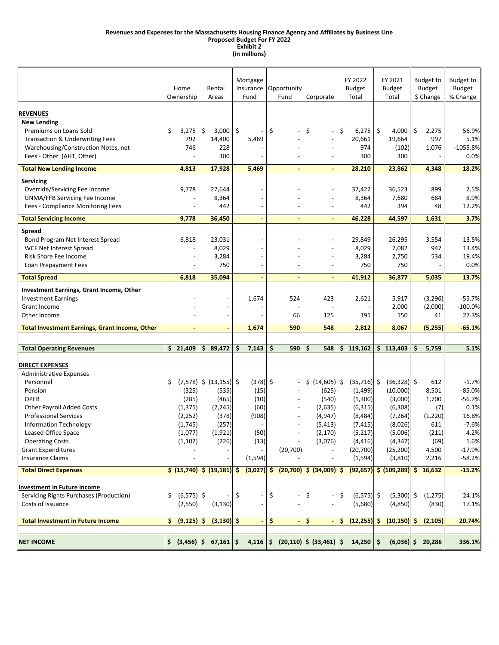#### **Revenues and Expenses for the Massachusetts Housing Finance Agency and Affiliates by Business Line**

#### **Proposed Budget For FY 2022 Exhibit 2**

**(in millions)**

|                                                                                                                                                                                                                                                                                                                                                                                                                                       | Home<br>Ownership                                                                                              | Rental<br>Areas                                                                                                                                                                                                                                                                                                                                                                                                                                                                                                                                                                           | Mortgage<br>Insurance<br>Fund                                                                 | Opportunity<br>Fund                                                                      | Corporate                                                                                                                        | FY 2022<br><b>Budget</b><br>Total                                                                                                                                       | FY 2021<br><b>Budget</b><br>Total                                                                                                                                               | <b>Budget to</b><br><b>Budget</b><br>\$ Change                                                                   | <b>Budget to</b><br>Budget<br>% Change                                                                                          |
|---------------------------------------------------------------------------------------------------------------------------------------------------------------------------------------------------------------------------------------------------------------------------------------------------------------------------------------------------------------------------------------------------------------------------------------|----------------------------------------------------------------------------------------------------------------|-------------------------------------------------------------------------------------------------------------------------------------------------------------------------------------------------------------------------------------------------------------------------------------------------------------------------------------------------------------------------------------------------------------------------------------------------------------------------------------------------------------------------------------------------------------------------------------------|-----------------------------------------------------------------------------------------------|------------------------------------------------------------------------------------------|----------------------------------------------------------------------------------------------------------------------------------|-------------------------------------------------------------------------------------------------------------------------------------------------------------------------|---------------------------------------------------------------------------------------------------------------------------------------------------------------------------------|------------------------------------------------------------------------------------------------------------------|---------------------------------------------------------------------------------------------------------------------------------|
| <b>REVENUES</b><br><b>New Lending</b><br>Premiums on Loans Sold<br><b>Transaction &amp; Underwriting Fees</b><br>Warehousing/Construction Notes, net<br>Fees - Other (AHT, Other)                                                                                                                                                                                                                                                     | \$<br>3,275<br>792<br>746                                                                                      | \$<br>$3,000$   \$<br>14,400<br>228<br>300                                                                                                                                                                                                                                                                                                                                                                                                                                                                                                                                                | 5,469                                                                                         | \$<br>$\overline{\phantom{0}}$                                                           | \$<br>$\overline{\phantom{a}}$                                                                                                   | \$<br>6,275<br>20,661<br>974<br>300                                                                                                                                     | \$<br>4,000<br>19,664<br>(102)<br>300                                                                                                                                           | \$<br>2,275<br>997<br>1,076                                                                                      | 56.9%<br>5.1%<br>$-1055.8%$<br>0.0%                                                                                             |
| <b>Total New Lending Income</b>                                                                                                                                                                                                                                                                                                                                                                                                       | 4,813                                                                                                          | 17,928                                                                                                                                                                                                                                                                                                                                                                                                                                                                                                                                                                                    | 5,469                                                                                         |                                                                                          |                                                                                                                                  | 28,210                                                                                                                                                                  | 23,862                                                                                                                                                                          | 4,348                                                                                                            | 18.2%                                                                                                                           |
| Servicing<br>Override/Servicing Fee Income<br>GNMA/FFB Servicing Fee Income<br>Fees - Compliance Monitoring Fees                                                                                                                                                                                                                                                                                                                      | 9,778                                                                                                          | 27,644<br>8,364<br>442                                                                                                                                                                                                                                                                                                                                                                                                                                                                                                                                                                    |                                                                                               |                                                                                          |                                                                                                                                  | 37,422<br>8,364<br>442                                                                                                                                                  | 36,523<br>7,680<br>394                                                                                                                                                          | 899<br>684<br>48                                                                                                 | 2.5%<br>8.9%<br>12.2%                                                                                                           |
| <b>Total Servicing Income</b>                                                                                                                                                                                                                                                                                                                                                                                                         | 9,778                                                                                                          | 36,450                                                                                                                                                                                                                                                                                                                                                                                                                                                                                                                                                                                    |                                                                                               |                                                                                          |                                                                                                                                  | 46,228                                                                                                                                                                  | 44,597                                                                                                                                                                          | 1,631                                                                                                            | 3.7%                                                                                                                            |
| <b>Spread</b><br>Bond Program Net Interest Spread<br><b>WCF Net Interest Spread</b><br>Risk Share Fee Income<br>Loan Prepayment Fees                                                                                                                                                                                                                                                                                                  | 6,818                                                                                                          | 23,031<br>8,029<br>3,284<br>750                                                                                                                                                                                                                                                                                                                                                                                                                                                                                                                                                           |                                                                                               |                                                                                          | $\overline{\phantom{a}}$                                                                                                         | 29,849<br>8,029<br>3,284<br>750                                                                                                                                         | 26,295<br>7,082<br>2,750<br>750                                                                                                                                                 | 3,554<br>947<br>534                                                                                              | 13.5%<br>13.4%<br>19.4%<br>0.0%                                                                                                 |
| <b>Total Spread</b>                                                                                                                                                                                                                                                                                                                                                                                                                   | 6,818                                                                                                          | 35,094                                                                                                                                                                                                                                                                                                                                                                                                                                                                                                                                                                                    |                                                                                               |                                                                                          |                                                                                                                                  | 41,912                                                                                                                                                                  | 36,877                                                                                                                                                                          | 5,035                                                                                                            | 13.7%                                                                                                                           |
| Investment Earnings, Grant Income, Other<br><b>Investment Earnings</b><br><b>Grant Income</b><br>Other Income                                                                                                                                                                                                                                                                                                                         |                                                                                                                |                                                                                                                                                                                                                                                                                                                                                                                                                                                                                                                                                                                           | 1,674<br>1,674                                                                                | 524<br>66<br>590                                                                         | 423<br>125<br>548                                                                                                                | 2,621<br>191<br>2,812                                                                                                                                                   | 5,917<br>2,000<br>150                                                                                                                                                           | (3,296)<br>(2,000)<br>41<br>(5,255)                                                                              | $-55.7%$<br>$-100.0%$<br>27.3%<br>$-65.1%$                                                                                      |
| <b>Total Investment Earnings, Grant Income, Other</b>                                                                                                                                                                                                                                                                                                                                                                                 | $\blacksquare$                                                                                                 |                                                                                                                                                                                                                                                                                                                                                                                                                                                                                                                                                                                           |                                                                                               |                                                                                          |                                                                                                                                  |                                                                                                                                                                         | 8,067                                                                                                                                                                           |                                                                                                                  |                                                                                                                                 |
| <b>Total Operating Revenues</b>                                                                                                                                                                                                                                                                                                                                                                                                       | \$21,409                                                                                                       | \$89,472                                                                                                                                                                                                                                                                                                                                                                                                                                                                                                                                                                                  | \$<br>7,143                                                                                   | \$<br>590                                                                                | \$<br>548                                                                                                                        | 119,162<br>Ś.                                                                                                                                                           | \$113,403                                                                                                                                                                       | \$<br>5,759                                                                                                      | 5.1%                                                                                                                            |
| <b>DIRECT EXPENSES</b><br>Administrative Expenses<br>Personnel<br>Pension<br>OPEB<br><b>Other Payroll Added Costs</b><br><b>Professional Services</b><br><b>Information Technology</b><br>Leased Office Space<br><b>Operating Costs</b><br><b>Grant Expenditures</b><br><b>Insurance Claims</b><br><b>Total Direct Expenses</b><br><b>Investment in Future Income</b><br>Servicing Rights Purchases (Production)<br>Costs of Issuance | Ś.<br>(325)<br>(285)<br>(1, 375)<br>(2, 252)<br>(1,745)<br>(1,077)<br>(1, 102)<br>(6,575) \$<br>\$.<br>(2,550) | $(7,578)$ \$ $(13,155)$ \$<br>(535)<br>(465)<br>(2, 245)<br>(378)<br>(257)<br>(1,921)<br>(226)<br>$\left  \frac{1}{2} \right  \left  \frac{1}{2} \right  \left  \frac{1}{2} \right  \left  \frac{1}{2} \right  \left  \frac{1}{2} \right  \left  \frac{1}{2} \right  \left  \frac{1}{2} \right  \left  \frac{1}{2} \right  \left  \frac{1}{2} \right  \left  \frac{1}{2} \right  \left  \frac{1}{2} \right  \left  \frac{1}{2} \right  \left  \frac{1}{2} \right  \left  \frac{1}{2} \right  \left  \frac{1}{2} \right  \left  \frac{1}{2} \right  \left  \frac{1}{2} \right$<br>(3, 130) | $(378)$ \$<br>(15)<br>(10)<br>(60)<br>(908)<br>(50)<br>(13)<br>(1, 594)<br>$(3,027)$ \$<br>\$ | (20, 700)<br>\$                                                                          | $$ (14,605)$ \$<br>(625)<br>(540)<br>(2,635)<br>(4, 947)<br>(5, 413)<br>(2, 170)<br>(3,076)<br>$(20,700)$ \$ $(34,009)$ \$<br>\$ | $(35,716)$ \$<br>(1, 499)<br>(1,300)<br>(6, 315)<br>(8, 484)<br>(7, 415)<br>(5, 217)<br>(4, 416)<br>(20, 700)<br>(1, 594)<br>(92, 657)<br>\$<br>$(6,575)$ \$<br>(5,680) | $(36,328)$ \$<br>(10,000)<br>(3,000)<br>(6,308)<br>(7, 264)<br>(8,026)<br>(5,006)<br>(4, 347)<br>(25, 200)<br>(3, 810)<br>$\frac{1}{5}$ (109,289) \$<br>$(5,300)$ \$<br>(4,850) | 612<br>8,501<br>1,700<br>(7)<br>(1,220)<br>611<br>(211)<br>(69)<br>4,500<br>2,216<br>16,632<br>(1, 275)<br>(830) | $-1.7%$<br>$-85.0%$<br>-56.7%<br>0.1%<br>16.8%<br>$-7.6%$<br>4.2%<br>1.6%<br>$-17.9%$<br>$-58.2%$<br>$-15.2%$<br>24.1%<br>17.1% |
| <b>Total Investment in Future Income</b>                                                                                                                                                                                                                                                                                                                                                                                              | \$<br>$(9, 125)$ \$                                                                                            | $(3,130)$ \$                                                                                                                                                                                                                                                                                                                                                                                                                                                                                                                                                                              |                                                                                               | \$<br>$\blacksquare$                                                                     | \$                                                                                                                               | $(12, 255)$ \$<br>\$.                                                                                                                                                   | $(10, 150)$ \$                                                                                                                                                                  | (2, 105)                                                                                                         | 20.74%                                                                                                                          |
| <b>NET INCOME</b>                                                                                                                                                                                                                                                                                                                                                                                                                     |                                                                                                                | $\frac{1}{2}$ (3,456) $\frac{1}{2}$ 67,161 $\frac{1}{2}$                                                                                                                                                                                                                                                                                                                                                                                                                                                                                                                                  | 4,116                                                                                         | $\left  \begin{array}{cc} \text{S} & \text{(20,110)} \end{array} \right $ \$ (33,461) \$ |                                                                                                                                  | 14,250                                                                                                                                                                  | \$                                                                                                                                                                              | $(6,036)$ \$ 20,286                                                                                              | 336.1%                                                                                                                          |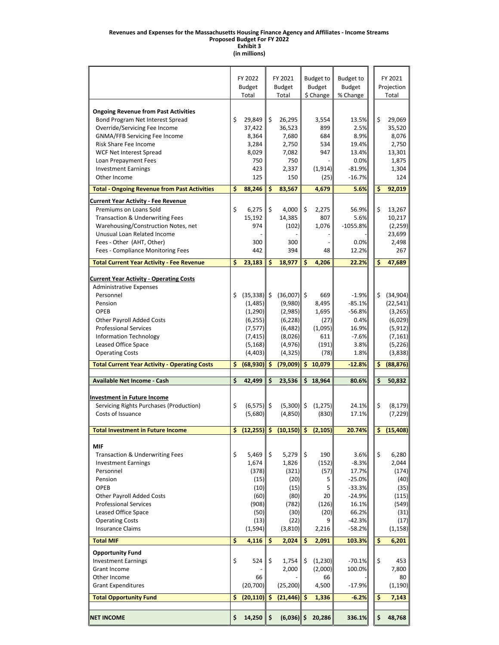#### **Revenues and Expenses for the Massachusetts Housing Finance Agency and Affiliates ‐ Income Streams**

**Proposed Budget For FY 2022**

**Exhibit 3 (in millions)**

|                                                      | FY 2022<br><b>Budget</b> |                      | FY 2021<br><b>Budget</b>    |     | <b>Budget to</b>           | <b>Budget to</b>          |  |    | FY 2021             |
|------------------------------------------------------|--------------------------|----------------------|-----------------------------|-----|----------------------------|---------------------------|--|----|---------------------|
|                                                      | Total                    |                      | Total                       |     | <b>Budget</b><br>\$ Change | <b>Budget</b><br>% Change |  |    | Projection<br>Total |
|                                                      |                          |                      |                             |     |                            |                           |  |    |                     |
| <b>Ongoing Revenue from Past Activities</b>          |                          |                      |                             |     |                            |                           |  |    |                     |
| Bond Program Net Interest Spread                     | \$<br>29,849             | \$                   | 26,295                      |     | 3,554                      | 13.5%                     |  | \$ | 29,069              |
| Override/Servicing Fee Income                        | 37,422                   |                      | 36,523                      |     | 899                        | 2.5%                      |  |    | 35,520              |
| <b>GNMA/FFB Servicing Fee Income</b>                 | 8,364                    |                      | 7,680                       |     | 684                        | 8.9%                      |  |    | 8,076               |
| Risk Share Fee Income                                | 3,284                    |                      | 2,750                       |     | 534                        | 19.4%                     |  |    | 2,750               |
| WCF Net Interest Spread                              | 8,029                    |                      | 7,082                       |     | 947                        | 13.4%                     |  |    | 13,301              |
| Loan Prepayment Fees                                 | 750                      |                      | 750                         |     |                            | 0.0%                      |  |    | 1,875               |
| <b>Investment Earnings</b>                           | 423                      |                      | 2,337                       |     | (1, 914)                   | $-81.9%$                  |  |    | 1,304               |
| Other Income                                         | 125                      |                      | 150                         |     | (25)                       | $-16.7%$                  |  |    | 124                 |
| <b>Total - Ongoing Revenue from Past Activities</b>  | \$<br>88,246             | \$                   | 83,567                      |     | 4,679                      | 5.6%                      |  | \$ | 92,019              |
| <b>Current Year Activity - Fee Revenue</b>           |                          |                      |                             |     |                            |                           |  |    |                     |
| Premiums on Loans Sold                               | \$<br>6,275              | \$                   | 4,000                       | \$  | 2,275                      | 56.9%                     |  | \$ | 13,267              |
| <b>Transaction &amp; Underwriting Fees</b>           | 15,192                   |                      | 14,385                      |     | 807                        | 5.6%                      |  |    | 10,217              |
| Warehousing/Construction Notes, net                  | 974                      |                      | (102)                       |     | 1,076                      | $-1055.8%$                |  |    | (2, 259)            |
| Unusual Loan Related Income                          |                          |                      |                             |     |                            |                           |  |    | 23,699              |
| Fees - Other (AHT, Other)                            | 300                      |                      | 300                         |     |                            | 0.0%                      |  |    | 2,498               |
| Fees - Compliance Monitoring Fees                    | 442                      |                      | 394                         |     | 48                         | 12.2%                     |  |    | 267                 |
| <b>Total Current Year Activity - Fee Revenue</b>     | \$<br>23,183             | \$                   | 18,977                      | \$  | 4,206                      | 22.2%                     |  | \$ | 47,689              |
|                                                      |                          |                      |                             |     |                            |                           |  |    |                     |
| <b>Current Year Activity - Operating Costs</b>       |                          |                      |                             |     |                            |                           |  |    |                     |
| <b>Administrative Expenses</b>                       |                          |                      |                             |     |                            |                           |  |    |                     |
| Personnel                                            | \$<br>$(35,338)$ \$      |                      | $(36,007)$ \$               |     | 669                        | $-1.9%$                   |  | \$ | (34,904)            |
| Pension                                              | (1,485)                  |                      | (9,980)                     |     | 8,495                      | $-85.1%$                  |  |    | (22, 541)           |
| OPEB                                                 | (1, 290)                 |                      | (2,985)                     |     | 1,695                      | $-56.8%$                  |  |    | (3, 265)            |
| <b>Other Payroll Added Costs</b>                     | (6, 255)                 |                      | (6, 228)                    |     | (27)                       | 0.4%                      |  |    | (6,029)             |
| <b>Professional Services</b>                         | (7,577)                  |                      | (6, 482)                    |     | (1,095)                    | 16.9%                     |  |    | (5, 912)            |
| <b>Information Technology</b>                        | (7, 415)                 |                      | (8,026)                     |     | 611                        | $-7.6%$                   |  |    | (7, 161)            |
| Leased Office Space                                  | (5, 168)                 |                      | (4, 976)                    |     | (191)                      | 3.8%                      |  |    | (5, 226)            |
| <b>Operating Costs</b>                               | (4, 403)                 |                      | (4, 325)                    |     | (78)                       | 1.8%                      |  |    | (3,838)             |
| <b>Total Current Year Activity - Operating Costs</b> | \$<br>(68, 930)          | \$                   | (79,009)                    | \$  | 10,079                     | $-12.8%$                  |  | s  | (88, 876)           |
|                                                      |                          |                      |                             |     |                            |                           |  |    |                     |
| Available Net Income - Cash                          | \$<br>42,499             | \$                   | 23,536                      |     | \$18,964                   | 80.6%                     |  | \$ | 50,832              |
| <b>Investment in Future Income</b>                   |                          |                      |                             |     |                            |                           |  |    |                     |
| Servicing Rights Purchases (Production)              | \$<br>$(6,575)$ \$       |                      | $(5,300)$ \$                |     | (1, 275)                   | 24.1%                     |  | \$ | (8, 179)            |
| Costs of Issuance                                    | (5,680)                  |                      | (4,850)                     |     | (830)                      | 17.1%                     |  |    | (7, 229)            |
|                                                      |                          |                      |                             |     |                            |                           |  |    |                     |
| <b>Total Investment in Future Income</b>             | \$                       |                      | $(12,255)$ \$ $(10,150)$ \$ |     | (2, 105)                   | 20.74%                    |  | \$ | (15, 408)           |
| <b>MIF</b>                                           |                          |                      |                             |     |                            |                           |  |    |                     |
| <b>Transaction &amp; Underwriting Fees</b>           | \$<br>5.469              | \$                   | $5,279$ \$                  |     | 190                        | 3.6%                      |  | \$ | 6,280               |
| <b>Investment Earnings</b>                           | 1,674                    |                      | 1,826                       |     | (152)                      | $-8.3%$                   |  |    | 2,044               |
| Personnel                                            | (378)                    |                      | (321)                       |     | (57)                       | 17.7%                     |  |    | (174)               |
| Pension                                              | (15)                     |                      | (20)                        |     | 5                          | $-25.0%$                  |  |    | (40)                |
| <b>OPEB</b>                                          | (10)                     |                      | (15)                        |     | 5                          | $-33.3%$                  |  |    | (35)                |
|                                                      | (60)                     |                      |                             |     | 20                         | $-24.9%$                  |  |    |                     |
| <b>Other Payroll Added Costs</b>                     |                          |                      | (80)                        |     |                            |                           |  |    | (115)               |
| <b>Professional Services</b>                         | (908)                    |                      | (782)                       |     | (126)                      | 16.1%                     |  |    | (549)               |
| Leased Office Space                                  | (50)                     |                      | (30)                        |     | (20)                       | 66.2%                     |  |    | (31)                |
| <b>Operating Costs</b>                               | (13)                     |                      | (22)                        |     | 9                          | $-42.3%$                  |  |    | (17)                |
| <b>Insurance Claims</b>                              | (1, 594)                 |                      | (3,810)                     |     | 2,216                      | $-58.2%$                  |  |    | (1, 158)            |
| <b>Total MIF</b>                                     | \$<br>4,116              | \$.                  | 2,024                       | \$. | 2,091                      | 103.3%                    |  | \$ | 6,201               |
| <b>Opportunity Fund</b>                              |                          |                      |                             |     |                            |                           |  |    |                     |
| <b>Investment Earnings</b>                           | \$<br>524                | \$                   | 1,754                       | \$  | (1, 230)                   | $-70.1%$                  |  | \$ | 453                 |
| Grant Income                                         |                          |                      | 2,000                       |     | (2,000)                    | 100.0%                    |  |    | 7,800               |
| Other Income                                         | 66                       |                      |                             |     | 66                         |                           |  |    | 80                  |
| <b>Grant Expenditures</b>                            | (20, 700)                |                      | (25, 200)                   |     | 4,500                      | $-17.9%$                  |  |    | (1, 190)            |
| <b>Total Opportunity Fund</b>                        | \$<br>(20, 110)          | \$.                  | (21, 446)                   | \$. | 1,336                      | $-6.2%$                   |  | \$ | 7,143               |
|                                                      |                          |                      |                             |     |                            |                           |  |    |                     |
| <b>NET INCOME</b>                                    | \$<br>14,250             | $\boldsymbol{\zeta}$ | $(6,036)$ \$                |     | 20,286                     | 336.1%                    |  | \$ | 48,768              |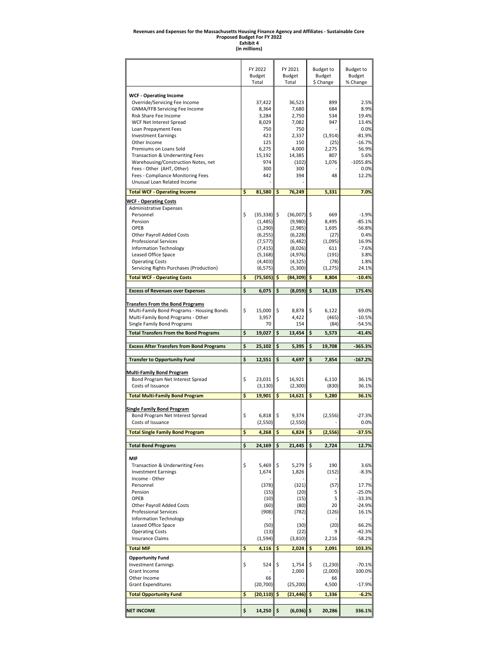# Revenues and Expenses for the Massachusetts Housing Finance Agency and Affiliates - Sustainable Core<br>Proposed Budget For FY 2022<br>Exhibit 4<br>Ein millions)

|                                                                                       | FY 2022<br><b>Budget</b><br>Total | FY 2021<br><b>Budget</b><br>Total | <b>Budget to</b><br><b>Budget</b><br>\$ Change | Budget to<br>Budget<br>% Change |
|---------------------------------------------------------------------------------------|-----------------------------------|-----------------------------------|------------------------------------------------|---------------------------------|
|                                                                                       |                                   |                                   |                                                |                                 |
| <b>WCF - Operating Income</b><br>Override/Servicing Fee Income                        | 37,422                            | 36,523                            | 899                                            | 2.5%                            |
| GNMA/FFB Servicing Fee Income                                                         | 8,364                             | 7,680                             | 684                                            | 8.9%                            |
| Risk Share Fee Income                                                                 | 3,284                             | 2,750                             | 534                                            | 19.4%                           |
| WCF Net Interest Spread                                                               | 8,029<br>750                      | 7,082<br>750                      | 947                                            | 13.4%<br>0.0%                   |
| Loan Prepayment Fees<br><b>Investment Earnings</b>                                    | 423                               | 2,337                             | (1, 914)                                       | $-81.9%$                        |
| Other Income                                                                          | 125                               | 150                               | (25)                                           | $-16.7%$                        |
| Premiums on Loans Sold                                                                | 6,275                             | 4,000                             | 2,275                                          | 56.9%                           |
| Transaction & Underwriting Fees                                                       | 15,192                            | 14,385                            | 807                                            | 5.6%                            |
| Warehousing/Construction Notes, net<br>Fees - Other (AHT, Other)                      | 974<br>300                        | (102)<br>300                      | 1,076                                          | $-1055.8%$<br>0.0%              |
| Fees - Compliance Monitoring Fees                                                     | 442                               | 394                               | 48                                             | 12.2%                           |
| Unusual Loan Related Income                                                           |                                   |                                   |                                                |                                 |
| <b>Total WCF - Operating Income</b>                                                   | \$<br>81,580                      | \$<br>76,249                      | 5,331                                          | 7.0%                            |
| <u><b>WCF - Operating Costs</b></u>                                                   |                                   |                                   |                                                |                                 |
| <b>Administrative Expenses</b>                                                        |                                   |                                   |                                                |                                 |
| Personnel                                                                             | \$<br>(35, 338)                   | \$<br>$(36,007)$ \$               | 669                                            | $-1.9%$                         |
| Pension                                                                               | (1, 485)                          | (9,980)                           | 8,495                                          | $-85.1%$                        |
| OPEB<br>Other Payroll Added Costs                                                     | (1, 290)<br>(6, 255)              | (2,985)<br>(6, 228)               | 1,695<br>(27)                                  | $-56.8%$<br>0.4%                |
| <b>Professional Services</b>                                                          | (7,577)                           | (6, 482)                          | (1,095)                                        | 16.9%                           |
| Information Technology                                                                | (7, 415)                          | (8,026)                           | 611                                            | $-7.6%$                         |
| Leased Office Space                                                                   | (5, 168)                          | (4,976)                           | (191)                                          | 3.8%                            |
| <b>Operating Costs</b>                                                                | (4, 403)                          | (4, 325)                          | (78)                                           | 1.8%                            |
| Servicing Rights Purchases (Production)                                               | (6, 575)                          | (5,300)                           | (1, 275)                                       | 24.1%                           |
| <b>Total WCF - Operating Costs</b>                                                    | \$<br>(75, 505)                   | \$<br>(84, 309)                   | \$<br>8,804                                    | $-10.4%$                        |
| <b>Excess of Revenues over Expenses</b>                                               | \$<br>6,075                       | \$<br>(8,059)                     | \$<br>14,135                                   | 175.4%                          |
|                                                                                       |                                   |                                   |                                                |                                 |
| <b>Transfers From the Bond Programs</b><br>Multi-Family Bond Programs - Housing Bonds | \$<br>15,000                      | \$<br>8,878                       | \$<br>6,122                                    | 69.0%                           |
| Multi-Family Bond Programs - Other                                                    | 3,957                             | 4,422                             | (465)                                          | $-10.5%$                        |
| Single Family Bond Programs                                                           | 70                                | 154                               | (84)                                           | -54.5%                          |
| <b>Total Transfers From the Bond Programs</b>                                         | \$<br>19,027                      | \$<br>13,454                      | \$<br>5,573                                    | $-41.4%$                        |
|                                                                                       |                                   |                                   |                                                |                                 |
| <b>Excess After Transfers from Bond Programs</b>                                      | \$<br>25,102                      | \$<br>5,395                       | \$<br>19,708                                   | $-365.3%$                       |
|                                                                                       |                                   |                                   |                                                |                                 |
| <b>Transfer to Opportunity Fund</b>                                                   | \$<br>12,551                      | \$<br>4,697                       | \$<br>7,854                                    | $-167.2%$                       |
| <b>Multi-Family Bond Program</b>                                                      |                                   |                                   |                                                |                                 |
| Bond Program Net Interest Spread                                                      | \$<br>23,031                      | \$<br>16,921                      | 6,110                                          | 36.1%                           |
| Costs of Issuance                                                                     | (3, 130)                          | (2,300)                           | (830)                                          | 36.1%                           |
| <b>Total Multi-Family Bond Program</b>                                                | \$<br>19,901                      | \$<br>14,621                      | \$<br>5,280                                    | 36.1%                           |
|                                                                                       |                                   |                                   |                                                |                                 |
| <b>Single Family Bond Program</b>                                                     |                                   |                                   |                                                |                                 |
| Bond Program Net Interest Spread<br>Costs of Issuance                                 | \$<br>6,818<br>(2,550)            | \$<br>9,374<br>(2, 550)           | (2, 556)                                       | $-27.3%$<br>0.0%                |
| <b>Total Single Family Bond Program</b>                                               | \$<br>4,268                       | \$<br>6,824                       | \$<br>(2, 556)                                 | $-37.5%$                        |
|                                                                                       |                                   |                                   |                                                |                                 |
| <b>Total Bond Programs</b>                                                            | \$<br>24,169                      | \$<br>21,445                      | \$<br>2.724                                    | 12.7%                           |
| MIF                                                                                   |                                   |                                   |                                                |                                 |
| Transaction & Underwriting Fees                                                       | \$<br>5,469                       | \$<br>5,279                       | \$<br>190                                      | 3.6%                            |
| <b>Investment Earnings</b>                                                            | 1,674                             | 1,826                             | (152)                                          | $-8.3%$                         |
| Income - Other                                                                        |                                   |                                   |                                                |                                 |
| Personnel<br>Pension                                                                  | (378)<br>(15)                     | (321)<br>(20)                     | (57)<br>5                                      | 17.7%<br>$-25.0%$               |
| OPEB                                                                                  | (10)                              | (15)                              | 5                                              | $-33.3%$                        |
| Other Payroll Added Costs                                                             | (60)                              | (80)                              | 20                                             | -24.9%                          |
| <b>Professional Services</b>                                                          | (908)                             | (782)                             | (126)                                          | 16.1%                           |
| <b>Information Technology</b>                                                         |                                   |                                   |                                                | 66.2%                           |
| Leased Office Space<br><b>Operating Costs</b>                                         | (50)<br>(13)                      | (30)<br>(22)                      | (20)<br>9                                      | $-42.3%$                        |
| <b>Insurance Claims</b>                                                               | (1, 594)                          | (3,810)                           | 2,216                                          | -58.2%                          |
| <b>Total MIF</b>                                                                      | \$<br>4,116                       | \$<br>2,024                       | \$<br>2,091                                    | 103.3%                          |
| <b>Opportunity Fund</b>                                                               |                                   |                                   |                                                |                                 |
| <b>Investment Earnings</b>                                                            | \$<br>524                         | \$<br>1,754                       | \$<br>(1, 230)                                 | $-70.1%$                        |
| Grant Income                                                                          |                                   | 2,000                             | (2,000)                                        | 100.0%                          |
| Other Income                                                                          | 66                                |                                   | 66                                             |                                 |
| <b>Grant Expenditures</b>                                                             | (20, 700)                         | (25, 200)                         | 4,500                                          | $-17.9%$                        |
| <b>Total Opportunity Fund</b>                                                         | \$<br>(20, 110)                   | \$<br>$(21, 446)$ \$              | 1,336                                          | $-6.2%$                         |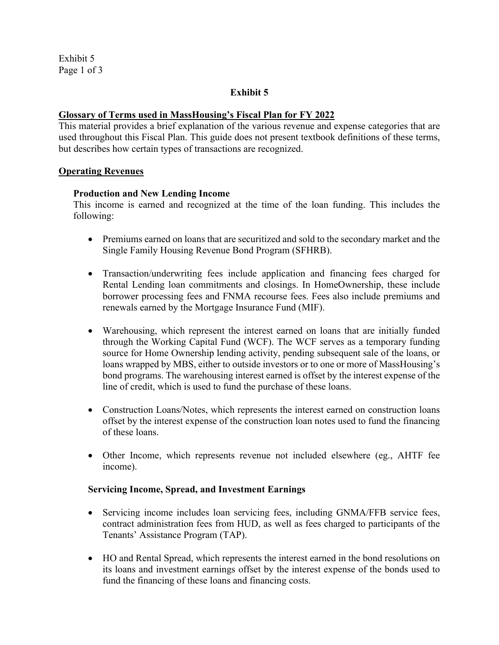Exhibit 5 Page 1 of 3

#### **Exhibit 5**

#### **Glossary of Terms used in MassHousing's Fiscal Plan for FY 2022**

This material provides a brief explanation of the various revenue and expense categories that are used throughout this Fiscal Plan. This guide does not present textbook definitions of these terms, but describes how certain types of transactions are recognized.

#### **Operating Revenues**

#### **Production and New Lending Income**

This income is earned and recognized at the time of the loan funding. This includes the following:

- Premiums earned on loans that are securitized and sold to the secondary market and the Single Family Housing Revenue Bond Program (SFHRB).
- Transaction/underwriting fees include application and financing fees charged for Rental Lending loan commitments and closings. In HomeOwnership, these include borrower processing fees and FNMA recourse fees. Fees also include premiums and renewals earned by the Mortgage Insurance Fund (MIF).
- Warehousing, which represent the interest earned on loans that are initially funded through the Working Capital Fund (WCF). The WCF serves as a temporary funding source for Home Ownership lending activity, pending subsequent sale of the loans, or loans wrapped by MBS, either to outside investors or to one or more of MassHousing's bond programs. The warehousing interest earned is offset by the interest expense of the line of credit, which is used to fund the purchase of these loans.
- Construction Loans/Notes, which represents the interest earned on construction loans offset by the interest expense of the construction loan notes used to fund the financing of these loans.
- Other Income, which represents revenue not included elsewhere (eg., AHTF fee income).

#### **Servicing Income, Spread, and Investment Earnings**

- Servicing income includes loan servicing fees, including GNMA/FFB service fees, contract administration fees from HUD, as well as fees charged to participants of the Tenants' Assistance Program (TAP).
- HO and Rental Spread, which represents the interest earned in the bond resolutions on its loans and investment earnings offset by the interest expense of the bonds used to fund the financing of these loans and financing costs.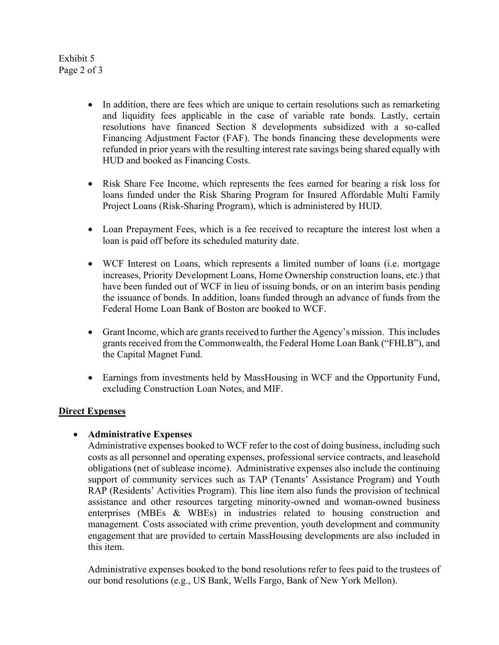#### Exhibit 5 Page 2 of 3

- In addition, there are fees which are unique to certain resolutions such as remarketing and liquidity fees applicable in the case of variable rate bonds. Lastly, certain resolutions have financed Section 8 developments subsidized with a so-called Financing Adjustment Factor (FAF). The bonds financing these developments were refunded in prior years with the resulting interest rate savings being shared equally with HUD and booked as Financing Costs.
- Risk Share Fee Income, which represents the fees earned for bearing a risk loss for loans funded under the Risk Sharing Program for Insured Affordable Multi Family Project Loans (Risk-Sharing Program), which is administered by HUD.
- Loan Prepayment Fees, which is a fee received to recapture the interest lost when a loan is paid off before its scheduled maturity date.
- WCF Interest on Loans, which represents a limited number of loans (i.e. mortgage increases, Priority Development Loans, Home Ownership construction loans, etc.) that have been funded out of WCF in lieu of issuing bonds, or on an interim basis pending the issuance of bonds. In addition, loans funded through an advance of funds from the Federal Home Loan Bank of Boston are booked to WCF.
- Grant Income, which are grants received to further the Agency's mission. This includes grants received from the Commonwealth, the Federal Home Loan Bank ("FHLB"), and the Capital Magnet Fund.
- Earnings from investments held by MassHousing in WCF and the Opportunity Fund, excluding Construction Loan Notes, and MIF.

## **Direct Expenses**

## **Administrative Expenses**

Administrative expenses booked to WCF refer to the cost of doing business, including such costs as all personnel and operating expenses, professional service contracts, and leasehold obligations (net of sublease income). Administrative expenses also include the continuing support of community services such as TAP (Tenants' Assistance Program) and Youth RAP (Residents' Activities Program). This line item also funds the provision of technical assistance and other resources targeting minority-owned and woman-owned business enterprises (MBEs & WBEs) in industries related to housing construction and management*.* Costs associated with crime prevention, youth development and community engagement that are provided to certain MassHousing developments are also included in this item.

Administrative expenses booked to the bond resolutions refer to fees paid to the trustees of our bond resolutions (e.g., US Bank, Wells Fargo, Bank of New York Mellon).